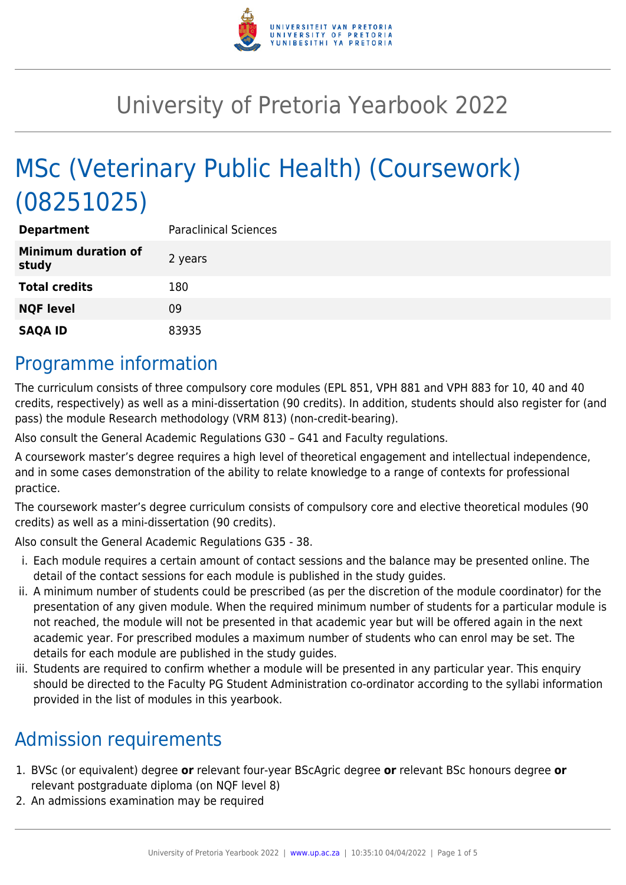

# University of Pretoria Yearbook 2022

# MSc (Veterinary Public Health) (Coursework) (08251025)

| <b>Department</b>                   | <b>Paraclinical Sciences</b> |
|-------------------------------------|------------------------------|
| <b>Minimum duration of</b><br>study | 2 years                      |
| <b>Total credits</b>                | 180                          |
| <b>NQF level</b>                    | 09                           |
| <b>SAQA ID</b>                      | 83935                        |

## Programme information

The curriculum consists of three compulsory core modules (EPL 851, VPH 881 and VPH 883 for 10, 40 and 40 credits, respectively) as well as a mini-dissertation (90 credits). In addition, students should also register for (and pass) the module Research methodology (VRM 813) (non-credit-bearing).

Also consult the General Academic Regulations G30 – G41 and Faculty regulations.

A coursework master's degree requires a high level of theoretical engagement and intellectual independence, and in some cases demonstration of the ability to relate knowledge to a range of contexts for professional practice.

The coursework master's degree curriculum consists of compulsory core and elective theoretical modules (90 credits) as well as a mini-dissertation (90 credits).

Also consult the General Academic Regulations G35 - 38.

- i. Each module requires a certain amount of contact sessions and the balance may be presented online. The detail of the contact sessions for each module is published in the study guides.
- ii. A minimum number of students could be prescribed (as per the discretion of the module coordinator) for the presentation of any given module. When the required minimum number of students for a particular module is not reached, the module will not be presented in that academic year but will be offered again in the next academic year. For prescribed modules a maximum number of students who can enrol may be set. The details for each module are published in the study guides.
- iii. Students are required to confirm whether a module will be presented in any particular year. This enquiry should be directed to the Faculty PG Student Administration co-ordinator according to the syllabi information provided in the list of modules in this yearbook.

# Admission requirements

- 1. BVSc (or equivalent) degree **or** relevant four-year BScAgric degree **or** relevant BSc honours degree **or** relevant postgraduate diploma (on NQF level 8)
- 2. An admissions examination may be required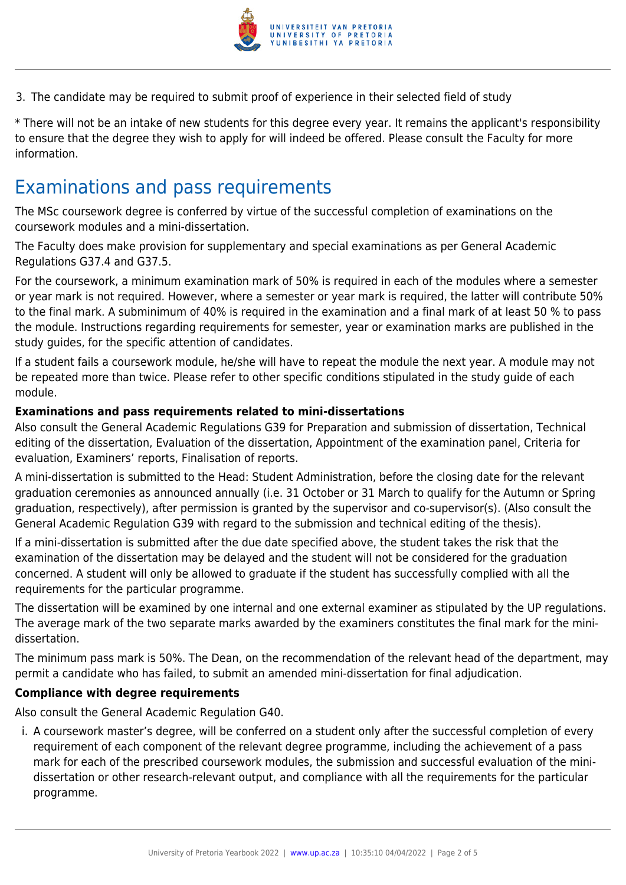

3. The candidate may be required to submit proof of experience in their selected field of study

\* There will not be an intake of new students for this degree every year. It remains the applicant's responsibility to ensure that the degree they wish to apply for will indeed be offered. Please consult the Faculty for more information.

### Examinations and pass requirements

The MSc coursework degree is conferred by virtue of the successful completion of examinations on the coursework modules and a mini-dissertation.

The Faculty does make provision for supplementary and special examinations as per General Academic Regulations G37.4 and G37.5.

For the coursework, a minimum examination mark of 50% is required in each of the modules where a semester or year mark is not required. However, where a semester or year mark is required, the latter will contribute 50% to the final mark. A subminimum of 40% is required in the examination and a final mark of at least 50 % to pass the module. Instructions regarding requirements for semester, year or examination marks are published in the study guides, for the specific attention of candidates.

If a student fails a coursework module, he/she will have to repeat the module the next year. A module may not be repeated more than twice. Please refer to other specific conditions stipulated in the study guide of each module.

#### **Examinations and pass requirements related to mini-dissertations**

Also consult the General Academic Regulations G39 for Preparation and submission of dissertation, Technical editing of the dissertation, Evaluation of the dissertation, Appointment of the examination panel, Criteria for evaluation, Examiners' reports, Finalisation of reports.

A mini-dissertation is submitted to the Head: Student Administration, before the closing date for the relevant graduation ceremonies as announced annually (i.e. 31 October or 31 March to qualify for the Autumn or Spring graduation, respectively), after permission is granted by the supervisor and co-supervisor(s). (Also consult the General Academic Regulation G39 with regard to the submission and technical editing of the thesis).

If a mini-dissertation is submitted after the due date specified above, the student takes the risk that the examination of the dissertation may be delayed and the student will not be considered for the graduation concerned. A student will only be allowed to graduate if the student has successfully complied with all the requirements for the particular programme.

The dissertation will be examined by one internal and one external examiner as stipulated by the UP regulations. The average mark of the two separate marks awarded by the examiners constitutes the final mark for the minidissertation.

The minimum pass mark is 50%. The Dean, on the recommendation of the relevant head of the department, may permit a candidate who has failed, to submit an amended mini-dissertation for final adjudication.

#### **Compliance with degree requirements**

Also consult the General Academic Regulation G40.

i. A coursework master's degree, will be conferred on a student only after the successful completion of every requirement of each component of the relevant degree programme, including the achievement of a pass mark for each of the prescribed coursework modules, the submission and successful evaluation of the minidissertation or other research-relevant output, and compliance with all the requirements for the particular programme.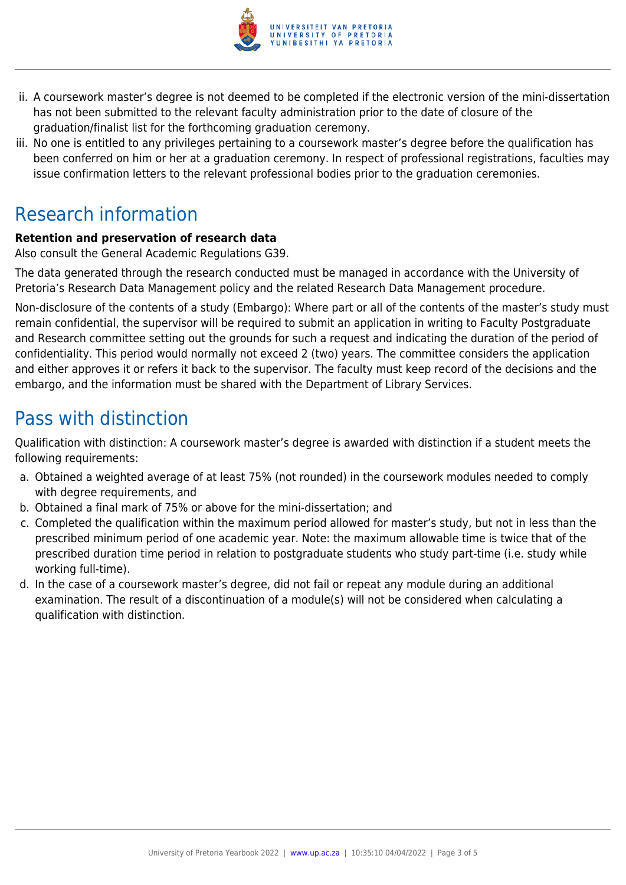

- ii. A coursework master's degree is not deemed to be completed if the electronic version of the mini-dissertation has not been submitted to the relevant faculty administration prior to the date of closure of the graduation/finalist list for the forthcoming graduation ceremony.
- iii. No one is entitled to any privileges pertaining to a coursework master's degree before the qualification has been conferred on him or her at a graduation ceremony. In respect of professional registrations, faculties may issue confirmation letters to the relevant professional bodies prior to the graduation ceremonies.

# Research information

#### **Retention and preservation of research data**

Also consult the General Academic Regulations G39.

The data generated through the research conducted must be managed in accordance with the University of Pretoria's Research Data Management policy and the related Research Data Management procedure.

Non-disclosure of the contents of a study (Embargo): Where part or all of the contents of the master's study must remain confidential, the supervisor will be required to submit an application in writing to Faculty Postgraduate and Research committee setting out the grounds for such a request and indicating the duration of the period of confidentiality. This period would normally not exceed 2 (two) years. The committee considers the application and either approves it or refers it back to the supervisor. The faculty must keep record of the decisions and the embargo, and the information must be shared with the Department of Library Services.

# Pass with distinction

Qualification with distinction: A coursework master's degree is awarded with distinction if a student meets the following requirements:

- a. Obtained a weighted average of at least 75% (not rounded) in the coursework modules needed to comply with degree requirements, and
- b. Obtained a final mark of 75% or above for the mini-dissertation; and
- c. Completed the qualification within the maximum period allowed for master's study, but not in less than the prescribed minimum period of one academic year. Note: the maximum allowable time is twice that of the prescribed duration time period in relation to postgraduate students who study part-time (i.e. study while working full-time).
- d. In the case of a coursework master's degree, did not fail or repeat any module during an additional examination. The result of a discontinuation of a module(s) will not be considered when calculating a qualification with distinction.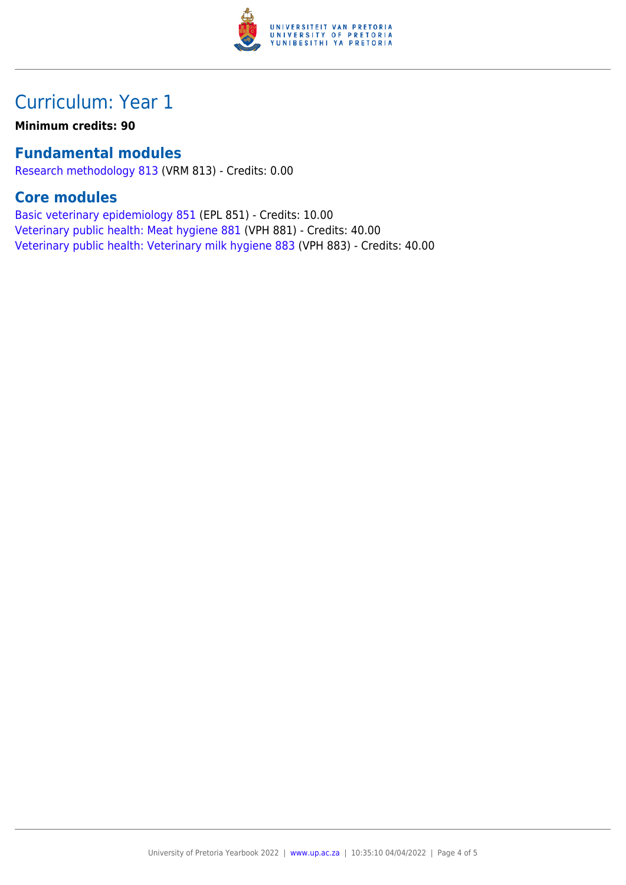

# Curriculum: Year 1

**Minimum credits: 90**

#### **Fundamental modules**

[Research methodology 813](https://www.up.ac.za/yearbooks/2022/modules/view/VRM 813) (VRM 813) - Credits: 0.00

#### **Core modules**

[Basic veterinary epidemiology 851](https://www.up.ac.za/yearbooks/2022/modules/view/EPL 851) (EPL 851) - Credits: 10.00 [Veterinary public health: Meat hygiene 881](https://www.up.ac.za/yearbooks/2022/modules/view/VPH 881) (VPH 881) - Credits: 40.00 [Veterinary public health: Veterinary milk hygiene 883](https://www.up.ac.za/yearbooks/2022/modules/view/VPH 883) (VPH 883) - Credits: 40.00